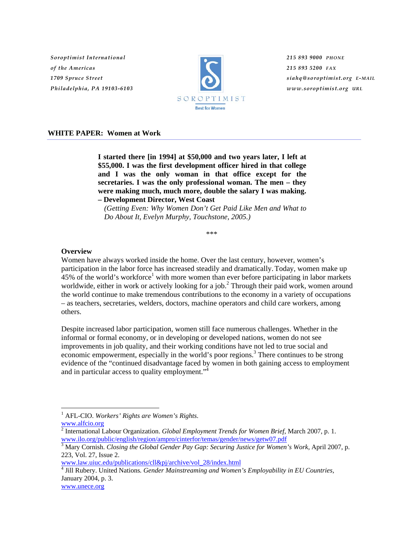*Soroptimist International of the Americas 1709 Spruce Street Philadelphia, PA 19103-6103*



*215 893 9000 PHONE 215 893 5200 FAX siahq@soroptimist.org E-MAIL www.soroptimist.org URL*

#### **WHITE PAPER: Women at Work**

**I started there [in 1994] at \$50,000 and two years later, I left at \$55,000. I was the first development officer hired in that college and I was the only woman in that office except for the secretaries. I was the only professional woman. The men – they were making much, much more, double the salary I was making. – Development Director, West Coast** 

*(Getting Even: Why Women Don't Get Paid Like Men and What to Do About It, Evelyn Murphy, Touchstone, 2005.)* 

*\*\*\** 

### **Overview**

 $\overline{a}$ 

Women have always worked inside the home. Over the last century, however, women's participation in the labor force has increased steadily and dramatically. Today, women make up  $45%$  of the world's workforce<sup>1</sup> with more women than ever before participating in labor markets worldwide, either in work or actively looking for a job.<sup>2</sup> Through their paid work, women around the world continue to make tremendous contributions to the economy in a variety of occupations – as teachers, secretaries, welders, doctors, machine operators and child care workers, among others.

Despite increased labor participation, women still face numerous challenges. Whether in the informal or formal economy, or in developing or developed nations, women do not see improvements in job quality, and their working conditions have not led to true social and economic empowerment, especially in the world's poor regions.<sup>3</sup> There continues to be strong evidence of the "continued disadvantage faced by women in both gaining access to employment and in particular access to quality employment."4

www.law.uiuc.edu/publications/cll&pj/archive/vol\_28/index.html

4 Jill Rubery. United Nations*. Gender Mainstreaming and Women's Employability in EU Countries,*  January 2004, p. 3. www.unece.org

<sup>1</sup> AFL-CIO. *Workers' Rights are Women's Rights*. www.alfcio.org

<sup>2</sup> International Labour Organization. *Global Employment Trends for Women Brief*, March 2007, p. 1. www.ilo.org/public/english/region/ampro/cinterfor/temas/gender/news/getw07.pdf

<sup>3</sup> Mary Cornish. *Closing the Global Gender Pay Gap: Securing Justice for Women's Work*, April 2007, p. 223, Vol. 27, Issue 2.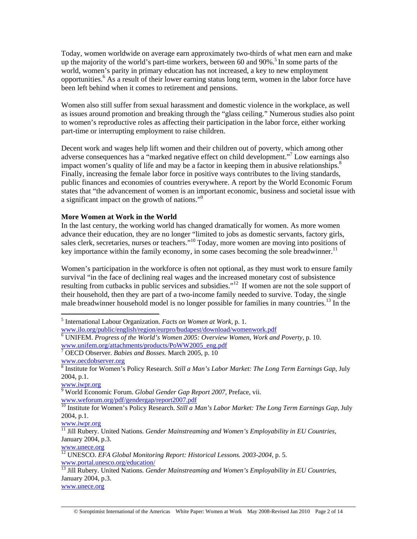Today, women worldwide on average earn approximately two-thirds of what men earn and make up the majority of the world's part-time workers, between 60 and  $90\%$ <sup>5</sup>. In some parts of the world, women's parity in primary education has not increased, a key to new employment opportunities.<sup>6</sup> As a result of their lower earning status long term, women in the labor force have been left behind when it comes to retirement and pensions.

Women also still suffer from sexual harassment and domestic violence in the workplace, as well as issues around promotion and breaking through the "glass ceiling." Numerous studies also point to women's reproductive roles as affecting their participation in the labor force, either working part-time or interrupting employment to raise children.

Decent work and wages help lift women and their children out of poverty, which among other adverse consequences has a "marked negative effect on child development."7 Low earnings also impact women's quality of life and may be a factor in keeping them in abusive relationships. $8$ Finally, increasing the female labor force in positive ways contributes to the living standards, public finances and economies of countries everywhere. A report by the World Economic Forum states that "the advancement of women is an important economic, business and societal issue with a significant impact on the growth of nations."<sup>9</sup>

# **More Women at Work in the World**

In the last century, the working world has changed dramatically for women. As more women advance their education, they are no longer "limited to jobs as domestic servants, factory girls, sales clerk, secretaries, nurses or teachers."<sup>10</sup> Today, more women are moving into positions of key importance within the family economy, in some cases becoming the sole breadwinner.<sup>11</sup>

Women's participation in the workforce is often not optional, as they must work to ensure family survival "in the face of declining real wages and the increased monetary cost of subsistence resulting from cutbacks in public services and subsidies."<sup>12</sup>If women are not the sole support of their household, then they are part of a two-income family needed to survive. Today, the single male breadwinner household model is no longer possible for families in many countries.<sup>13</sup> In the

 $\overline{a}$ 

www.iwpr.org 9 World Economic Forum. *Global Gender Gap Report 2007*, Preface, vii. www.weforum.org/pdf/gendergap/report2007.pdf

www.iwpr.org

www.unece.org

www.unece.org

<sup>5</sup> International Labour Organization. *Facts on Women at Work,* p. 1.

www.ilo.org/public/english/region/eurpro/budapest/download/womenwork.pdf

<sup>6</sup> UNIFEM. *Progress of the World's Women 2005: Overview Women, Work and Poverty,* p. 10. www.unifem.org/attachments/products/PoWW2005\_eng.pdf 7

OECD Observer. *Babies and Bosses.* March 2005, p. 10

www.oecdobserver.org

<sup>8</sup> Institute for Women's Policy Research. *Still a Man's Labor Market: The Long Term Earnings Gap*, July 2004, p.1.

<sup>&</sup>lt;sup>10</sup> Institute for Women's Policy Research. *Still a Man's Labor Market: The Long Term Earnings Gap*, July 2004, p.1.

<sup>11</sup> Jill Rubery. United Nations*. Gender Mainstreaming and Women's Employability in EU Countries,* January 2004, p.3.

<sup>12</sup> UNESCO. *EFA Global Monitoring Report: Historical Lessons. 2003-2004*, p. 5. www.portal.unesco.org/education/

<sup>13</sup> Jill Rubery. United Nations*. Gender Mainstreaming and Women's Employability in EU Countries,*  January 2004, p.3.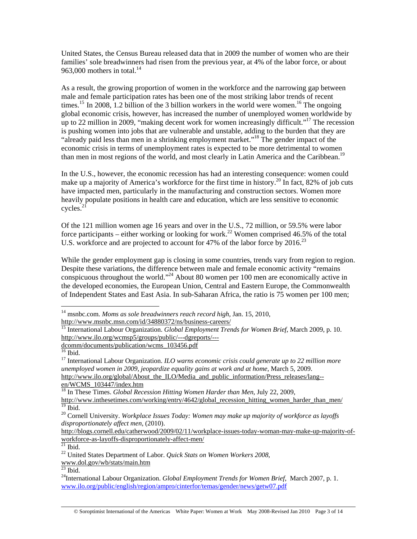United States, the Census Bureau released data that in 2009 the number of women who are their families' sole breadwinners had risen from the previous year, at 4% of the labor force, or about 963,000 mothers in total.<sup>14</sup>

As a result, the growing proportion of women in the workforce and the narrowing gap between male and female participation rates has been one of the most striking labor trends of recent times.<sup>15</sup> In 2008, 1.2 billion of the 3 billion workers in the world were women.<sup>16</sup> The ongoing global economic crisis, however, has increased the number of unemployed women worldwide by up to 22 million in 2009, "making decent work for women increasingly difficult."17 The recession is pushing women into jobs that are vulnerable and unstable, adding to the burden that they are "already paid less than men in a shrinking employment market."18 The gender impact of the economic crisis in terms of unemployment rates is expected to be more detrimental to women than men in most regions of the world, and most clearly in Latin America and the Caribbean.<sup>19</sup>

In the U.S., however, the economic recession has had an interesting consequence: women could make up a majority of America's workforce for the first time in history.<sup>20</sup> In fact, 82% of job cuts have impacted men, particularly in the manufacturing and construction sectors. Women more heavily populate positions in health care and education, which are less sensitive to economic cycles.21

Of the 121 million women age 16 years and over in the U.S., 72 million, or 59.5% were labor force participants – either working or looking for work.<sup>22</sup> Women comprised 46.5% of the total U.S. workforce and are projected to account for 47% of the labor force by 2016.<sup>23</sup>

While the gender employment gap is closing in some countries, trends vary from region to region. Despite these variations, the difference between male and female economic activity "remains conspicuous throughout the world."24 About 80 women per 100 men are economically active in the developed economies, the European Union, Central and Eastern Europe, the Commonwealth of Independent States and East Asia. In sub-Saharan Africa, the ratio is 75 women per 100 men;

 $\overline{a}$ 

en/WCMS\_103447/index.htm

 $21$  Ibid.

 $^{23}$  Ibid.

<sup>14</sup> msnbc.com. *Moms as sole breadwinners reach record high*, Jan. 15, 2010, http://www.msnbc.msn.com/id/34880372/ns/business-careers/

<sup>15</sup> International Labour Organization. *Global Employment Trends for Women Brief*, March 2009, p. 10. http://www.ilo.org/wcmsp5/groups/public/---dgreports/---

dcomm/documents/publication/wcms 103456.pdf

<sup>16</sup> Ibid.

<sup>17</sup> International Labour Organization. *ILO warns economic crisis could generate up to 22 million more unemployed women in 2009, jeopardize equality gains at work and at home*, March 5, 2009. http://www.ilo.org/global/About\_the\_ILO/Media\_and\_public\_information/Press\_releases/lang--

<sup>&</sup>lt;sup>18</sup> In These Times. *Global Recession Hitting Women Harder than Men*, July 22, 2009, http://www.inthesetimes.com/working/entry/4642/global\_recession\_hitting\_women\_harder\_than\_men/  $19$  Ibid.

<sup>20</sup> Cornell University. *Workplace Issues Today: Women may make up majority of workforce as layoffs disproportionately affect men*, (2010).

http://blogs.cornell.edu/catherwood/2009/02/11/workplace-issues-today-woman-may-make-up-majority-ofworkforce-as-layoffs-disproportionately-affect-men/

<sup>22</sup> United States Department of Labor. *Quick Stats on Women Workers 2008*,

www.dol.gov/wb/stats/main.htm

<sup>24</sup>International Labour Organization. *Global Employment Trends for Women Brief*, March 2007, p. 1. www.ilo.org/public/english/region/ampro/cinterfor/temas/gender/news/getw07.pdf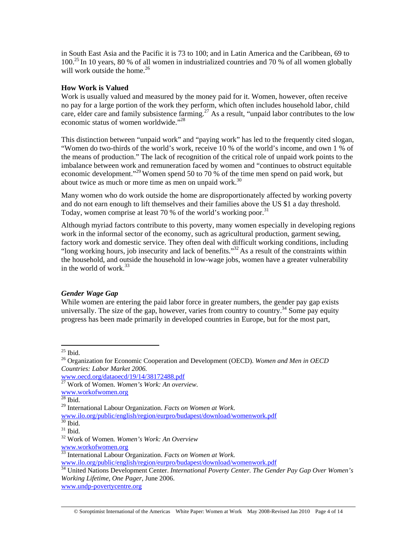in South East Asia and the Pacific it is 73 to 100; and in Latin America and the Caribbean, 69 to 100.25 In 10 years, 80 % of all women in industrialized countries and 70 % of all women globally will work outside the home  $^{26}$ 

# **How Work is Valued**

Work is usually valued and measured by the money paid for it. Women, however, often receive no pay for a large portion of the work they perform, which often includes household labor, child care, elder care and family subsistence farming.<sup>27</sup> As a result, "unpaid labor contributes to the low economic status of women worldwide."28

This distinction between "unpaid work" and "paying work" has led to the frequently cited slogan, "Women do two-thirds of the world's work, receive 10 % of the world's income, and own 1 % of the means of production." The lack of recognition of the critical role of unpaid work points to the imbalance between work and remuneration faced by women and "continues to obstruct equitable economic development."<sup>29</sup> Women spend 50 to 70 % of the time men spend on paid work, but about twice as much or more time as men on unpaid work. $30$ 

Many women who do work outside the home are disproportionately affected by working poverty and do not earn enough to lift themselves and their families above the US \$1 a day threshold. Today, women comprise at least 70 % of the world's working poor.<sup>31</sup>

Although myriad factors contribute to this poverty, many women especially in developing regions work in the informal sector of the economy, such as agricultural production, garment sewing, factory work and domestic service. They often deal with difficult working conditions, including "long working hours, job insecurity and lack of benefits."<sup>32</sup> As a result of the constraints within the household, and outside the household in low-wage jobs, women have a greater vulnerability in the world of work  $33$ 

# *Gender Wage Gap*

While women are entering the paid labor force in greater numbers, the gender pay gap exists universally. The size of the gap, however, varies from country to country.<sup>34</sup> Some pay equity progress has been made primarily in developed countries in Europe, but for the most part,

 $25$  Ibid.

<sup>26</sup> Organization for Economic Cooperation and Development (OECD). *Women and Men in OECD Countries: Labor Market 2006.* 

www.oecd.org/dataoecd/19/14/38172488.pdf

<sup>27</sup> Work of Women. *Women's Work: An overview.*

www.workofwomen.org

 $28$  Ibid.

<sup>29</sup> International Labour Organization. *Facts on Women at Work*.

www.ilo.org/public/english/region/eurpro/budapest/download/womenwork.pdf

 $30$  Ibid.

 $^{\rm 31}$  Ibid.

<sup>32</sup> Work of Women*. Women's Work: An Overview*

www.workofwomen.org

<sup>33</sup> International Labour Organization. *Facts on Women at Work.* 

www.ilo.org/public/english/region/eurpro/budapest/download/womenwork.pdf

<sup>34</sup> United Nations Development Center. *International Poverty Center. The Gender Pay Gap Over Women's Working Lifetime, One Pager*, June 2006.

www.undp-povertycentre.org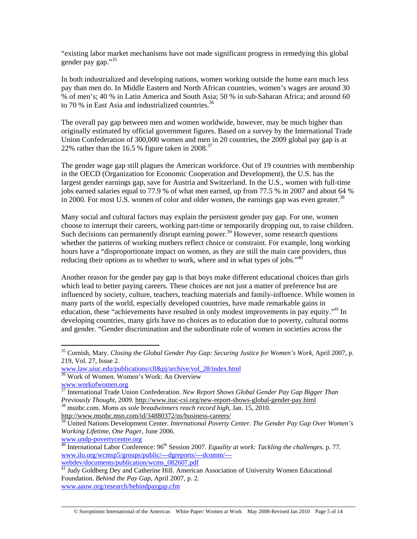"existing labor market mechanisms have not made significant progress in remedying this global gender pay gap."<sup>35</sup>

In both industrialized and developing nations, women working outside the home earn much less pay than men do. In Middle Eastern and North African countries, women's wages are around 30 % of men's; 40 % in Latin America and South Asia; 50 % in sub-Saharan Africa; and around 60 to 70  $%$  in East Asia and industrialized countries.<sup>36</sup>

The overall pay gap between men and women worldwide, however, may be much higher than originally estimated by official government figures. Based on a survey by the International Trade Union Confederation of 300,000 women and men in 20 countries, the 2009 global pay gap is at 22% rather than the 16.5 % figure taken in  $2008$ <sup>37</sup>

The gender wage gap still plagues the American workforce. Out of 19 countries with membership in the OECD (Organization for Economic Cooperation and Development), the U.S. has the largest gender earnings gap, save for Austria and Switzerland. In the U.S., women with full-time jobs earned salaries equal to 77.9 % of what men earned, up from 77.5 % in 2007 and about 64 % in 2000. For most U.S. women of color and older women, the earnings gap was even greater.<sup>38</sup>

Many social and cultural factors may explain the persistent gender pay gap. For one, women choose to interrupt their careers, working part-time or temporarily dropping out, to raise children. Such decisions can permanently disrupt earning power.<sup>39</sup> However, some research questions whether the patterns of working mothers reflect choice or constraint. For example, long working hours have a "disproportionate impact on women, as they are still the main care providers, thus reducing their options as to whether to work, where and in what types of jobs." $40$ 

Another reason for the gender pay gap is that boys make different educational choices than girls which lead to better paying careers. These choices are not just a matter of preference but are influenced by society, culture, teachers, teaching materials and family-influence. While women in many parts of the world, especially developed countries, have made remarkable gains in education, these "achievements have resulted in only modest improvements in pay equity."<sup>41</sup> In developing countries, many girls have no choices as to education due to poverty, cultural norms and gender. "Gender discrimination and the subordinate role of women in societies across the

 $\overline{a}$ 

www.undp-povertycentre.org

webdev/documents/publication/wcms\_082607.pdf

<sup>35</sup> Cornish, Mary. *Closing the Global Gender Pay Gap: Securing Justice for Women's Work*, April 2007, p. 219, Vol. 27, Issue 2.

www.law.uiuc.edu/publications/cll&pj/archive/vol\_28/index.html 36 Work of Women. Women's Work: An Overview

www.workofwomen.org

<sup>37</sup> International Trade Union Confederation. *New Report Shows Global Gender Pay Gap Bigger Than Previously Thought,* 2009. http://www.ituc-csi.org/new-report-shows-global-gender-pay.html 38 msnbc.com. *Moms as sole breadwinners reach record high*, Jan. 15, 2010.

http://www.msnbc.msn.com/id/34880372/ns/business-careers/

<sup>39</sup> United Nations Development Center. *International Poverty Center. The Gender Pay Gap Over Women's Working Lifetime, One Pager*, June 2006.

<sup>&</sup>lt;sup>40</sup> International Labor Conference: 96<sup>th</sup> Session 2007. *Equality at work: Tackling the challenges.* p. 77. www.ilo.org/wcmsp5/groups/public/---dgreports/---dcomm/---

<sup>&</sup>lt;sup>41</sup> Judy Goldberg Dey and Catherine Hill. American Association of University Women Educational Foundation. *Behind the Pay Gap,* April 2007, p. 2. www.aauw.org/research/behindpaygap.cfm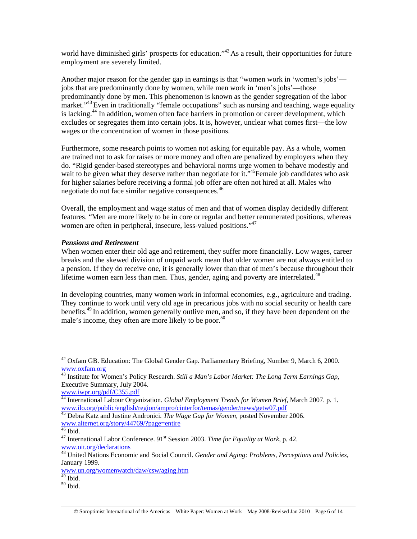world have diminished girls' prospects for education."<sup>42</sup> As a result, their opportunities for future employment are severely limited.

Another major reason for the gender gap in earnings is that "women work in 'women's jobs' jobs that are predominantly done by women, while men work in 'men's jobs'—those predominantly done by men. This phenomenon is known as the gender segregation of the labor market."<sup>43</sup> Even in traditionally "female occupations" such as nursing and teaching, wage equality is lacking.<sup>44</sup> In addition, women often face barriers in promotion or career development, which excludes or segregates them into certain jobs. It is, however, unclear what comes first—the low wages or the concentration of women in those positions.

Furthermore, some research points to women not asking for equitable pay. As a whole, women are trained not to ask for raises or more money and often are penalized by employers when they do. "Rigid gender-based stereotypes and behavioral norms urge women to behave modestly and wait to be given what they deserve rather than negotiate for it."<sup>45</sup>Female job candidates who ask for higher salaries before receiving a formal job offer are often not hired at all. Males who negotiate do not face similar negative consequences.<sup>46</sup>

Overall, the employment and wage status of men and that of women display decidedly different features. "Men are more likely to be in core or regular and better remunerated positions, whereas women are often in peripheral, insecure, less-valued positions."<sup>47</sup>

### *Pensions and Retirement*

When women enter their old age and retirement, they suffer more financially. Low wages, career breaks and the skewed division of unpaid work mean that older women are not always entitled to a pension. If they do receive one, it is generally lower than that of men's because throughout their lifetime women earn less than men. Thus, gender, aging and poverty are interrelated.<sup>48</sup>

In developing countries, many women work in informal economies, e.g., agriculture and trading. They continue to work until very old age in precarious jobs with no social security or health care benefits.49 In addition, women generally outlive men, and so, if they have been dependent on the male's income, they often are more likely to be poor.<sup>50</sup>

 $^{42}$  Oxfam GB. Education: The Global Gender Gap. Parliamentary Briefing, Number 9, March 6, 2000. www.oxfam.org

<sup>43</sup> Institute for Women's Policy Research. *Still a Man's Labor Market: The Long Term Earnings Gap*, Executive Summary, July 2004.

www.iwpr.org/pdf/C355.pdf

<sup>44</sup> International Labour Organization. *Global Employment Trends for Women Brief,* March 2007. p. 1. www.ilo.org/public/english/region/ampro/cinterfor/temas/gender/news/getw07.pdf

<sup>45</sup> Debra Katz and Justine Andronici. *The Wage Gap for Women,* posted November 2006. www.alternet.org/story/44769/?page=entire

 $46$  Ibid.

<sup>&</sup>lt;sup>47</sup> International Labor Conference. 91<sup>st</sup> Session 2003. *Time for Equality at Work*, p. 42. www.oit.org/declarations

<sup>48</sup> United Nations Economic and Social Council. *Gender and Aging: Problems, Perceptions and Policies*, January 1999.

www.un.org/womenwatch/daw/csw/aging.htm

 $49$  Ibid.

 $50$  Ibid.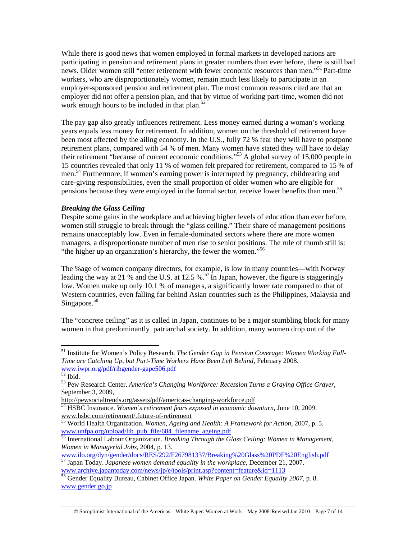While there is good news that women employed in formal markets in developed nations are participating in pension and retirement plans in greater numbers than ever before, there is still bad news. Older women still "enter retirement with fewer economic resources than men."<sup>51</sup> Part-time workers, who are disproportionately women, remain much less likely to participate in an employer-sponsored pension and retirement plan. The most common reasons cited are that an employer did not offer a pension plan, and that by virtue of working part-time, women did not work enough hours to be included in that plan.<sup>52</sup>

The pay gap also greatly influences retirement. Less money earned during a woman's working years equals less money for retirement. In addition, women on the threshold of retirement have been most affected by the ailing economy. In the U.S., fully 72 % fear they will have to postpone retirement plans, compared with 54 % of men. Many women have stated they will have to delay their retirement "because of current economic conditions."53 A global survey of 15,000 people in 15 countries revealed that only 11 % of women felt prepared for retirement, compared to 15 % of men.<sup>54</sup> Furthermore, if women's earning power is interrupted by pregnancy, childrearing and care-giving responsibilities, even the small proportion of older women who are eligible for pensions because they were employed in the formal sector, receive lower benefits than men.<sup>55</sup>

### *Breaking the Glass Ceiling*

Despite some gains in the workplace and achieving higher levels of education than ever before, women still struggle to break through the "glass ceiling." Their share of management positions remains unacceptably low. Even in female-dominated sectors where there are more women managers, a disproportionate number of men rise to senior positions. The rule of thumb still is: "the higher up an organization's hierarchy, the fewer the women."<sup>56</sup>

The %age of women company directors, for example, is low in many countries—with Norway leading the way at 21 % and the U.S. at 12.5 %.<sup>57</sup> In Japan, however, the figure is staggeringly low. Women make up only 10.1 % of managers, a significantly lower rate compared to that of Western countries, even falling far behind Asian countries such as the Philippines, Malaysia and Singapore.<sup>58</sup>

The "concrete ceiling" as it is called in Japan, continues to be a major stumbling block for many women in that predominantly patriarchal society. In addition, many women drop out of the

<sup>&</sup>lt;sup>51</sup> Institute for Women's Policy Research. The Gender Gap in Pension Coverage: Women Working Full-*Time are Catching Up, but Part-Time Workers Have Been Left Behind*, February 2008. www.iwpr.org/pdf/ribgender-gape506.pdf

 $52$  Ibid.

<sup>53</sup> Pew Research Center. *America's Changing Workforce: Recession Turns a Graying Office Grayer*, September 3, 2009,

http://pewsocialtrends.org/assets/pdf/americas-changing-workforce.pdf

<sup>54</sup> HSBC Insurance. *Women's retirement fears exposed in economic downturn*, June 10, 2009. www.hsbc.com/retirement/.future-of-retirement 55 World Health Organization. *Women, Ageing and Health: A Framework for Action*, 2007, p. 5.

www.unfpa.org/upload/lib\_pub\_file/684\_filename\_ageing.pdf

<sup>56</sup> International Labour Organization. *Breaking Through the Glass Ceiling: Women in Management, Women in Managerial Jobs*, 2004, p. 13.

www.ilo.org/dyn/gender/docs/RES/292/F267981337/Breaking%20Glass%20PDF%20English.pdf

<sup>57</sup> Japan Today. *Japanese women demand equality in the workplace*, December 21, 2007. www.archive.japantoday.com/news/jp/e/tools/print.asp?content=feature&id=1113

<sup>58</sup> Gender Equality Bureau, Cabinet Office Japan. *White Paper on Gender Equality 2007*, p. 8. www.gender.go.jp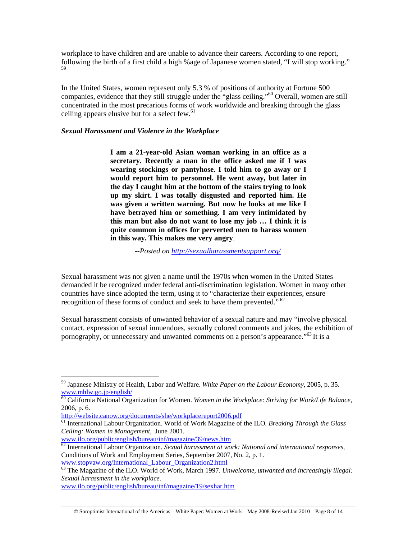workplace to have children and are unable to advance their careers. According to one report, following the birth of a first child a high %age of Japanese women stated, "I will stop working." 59

In the United States, women represent only 5.3 % of positions of authority at Fortune 500 companies, evidence that they still struggle under the "glass ceiling."60 Overall, women are still concentrated in the most precarious forms of work worldwide and breaking through the glass ceiling appears elusive but for a select few.<sup>61</sup>

### *Sexual Harassment and Violence in the Workplace*

**I am a 21-year-old Asian woman working in an office as a secretary. Recently a man in the office asked me if I was wearing stockings or pantyhose. I told him to go away or I would report him to personnel. He went away, but later in the day I caught him at the bottom of the stairs trying to look up my skirt. I was totally disgusted and reported him. He was given a written warning. But now he looks at me like I have betrayed him or something. I am very intimidated by this man but also do not want to lose my job … I think it is quite common in offices for perverted men to harass women in this way. This makes me very angry**.

 **--***Posted on http://sexualharassmentsupport.org/*

Sexual harassment was not given a name until the 1970s when women in the United States demanded it be recognized under federal anti-discrimination legislation. Women in many other countries have since adopted the term, using it to "characterize their experiences, ensure recognition of these forms of conduct and seek to have them prevented."<sup>62</sup>

Sexual harassment consists of unwanted behavior of a sexual nature and may "involve physical contact, expression of sexual innuendoes, sexually colored comments and jokes, the exhibition of pornography, or unnecessary and unwanted comments on a person's appearance."<sup>63</sup> It is a

<sup>59</sup> Japanese Ministry of Health, Labor and Welfare. *White Paper on the Labour Economy*, 2005, p. 35. www.mhlw.go.jp/english/

<sup>60</sup> California National Organization for Women. *Women in the Workplace: Striving for Work/Life Balance*,

<sup>2006,</sup> p. 6.<br>http://website.canow.org/documents/she/workplacereport2006.pdf

<sup>&</sup>lt;sup>61</sup> International Labour Organization. World of Work Magazine of the ILO. Breaking Through the Glass *Ceiling: Women in Management,* June 2001.

www.ilo.org/public/english/bureau/inf/magazine/39/news.htm 62 International Labour Organization. *Sexual harassment at work: National and international responses*, Conditions of Work and Employment Series, September 2007, No. 2, p. 1. www.stopvaw.org/International\_Labour\_Organization2.html

<sup>63</sup> The Magazine of the ILO. World of Work, March 1997. *Unwelcome, unwanted and increasingly illegal: Sexual harassment in the workplace.* 

www.ilo.org/public/english/bureau/inf/magazine/19/sexhar.htm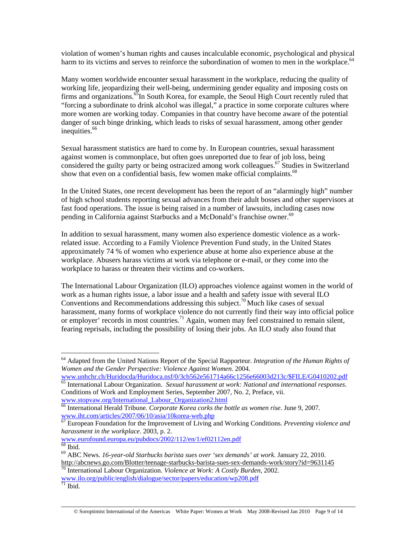violation of women's human rights and causes incalculable economic, psychological and physical harm to its victims and serves to reinforce the subordination of women to men in the workplace.<sup>64</sup>

Many women worldwide encounter sexual harassment in the workplace, reducing the quality of working life, jeopardizing their well-being, undermining gender equality and imposing costs on firms and organizations.<sup>65</sup>In South Korea, for example, the Seoul High Court recently ruled that "forcing a subordinate to drink alcohol was illegal," a practice in some corporate cultures where more women are working today. Companies in that country have become aware of the potential danger of such binge drinking, which leads to risks of sexual harassment, among other gender inequities.<sup>66</sup>

Sexual harassment statistics are hard to come by. In European countries, sexual harassment against women is commonplace, but often goes unreported due to fear of job loss, being considered the guilty party or being ostracized among work colleagues.<sup>67</sup> Studies in Switzerland show that even on a confidential basis, few women make official complaints.<sup>68</sup>

In the United States, one recent development has been the report of an "alarmingly high" number of high school students reporting sexual advances from their adult bosses and other supervisors at fast food operations. The issue is being raised in a number of lawsuits, including cases now pending in California against Starbucks and a McDonald's franchise owner.<sup>69</sup>

In addition to sexual harassment, many women also experience domestic violence as a workrelated issue. According to a Family Violence Prevention Fund study, in the United States approximately 74 % of women who experience abuse at home also experience abuse at the workplace. Abusers harass victims at work via telephone or e-mail, or they come into the workplace to harass or threaten their victims and co-workers.

The International Labour Organization (ILO) approaches violence against women in the world of work as a human rights issue, a labor issue and a health and safety issue with several ILO Conventions and Recommendations addressing this subject.<sup>70</sup> Much like cases of sexual harassment, many forms of workplace violence do not currently find their way into official police or employer' records in most countries.<sup>71</sup> Again, women may feel constrained to remain silent, fearing reprisals, including the possibility of losing their jobs. An ILO study also found that

<sup>64</sup> Adapted from the United Nations Report of the Special Rapporteur. *Integration of the Human Rights of Women and the Gender Perspective: Violence Against Women*. 2004.

www.unhchr.ch/Huridocda/Huridoca.nsf/0/3cb562e561714a66c1256e66003d213c/\$FILE/G0410202.pdf 65 International Labour Organization. *Sexual harassment at work: National and international responses*. Conditions of Work and Employment Series, September 2007, No. 2, Preface, vii. www.stopvaw.org/International\_Labour\_Organization2.html

<sup>66</sup> International Herald Tribune. *Corporate Korea corks the bottle as women rise*. June 9, 2007. www.iht.com/articles/2007/06/10/asia/10korea-web.php

<sup>67</sup> European Foundation for the Improvement of Living and Working Conditions*. Preventing violence and harassment in the workplace*. 2003, p. 2.

www.eurofound.europa.eu/pubdocs/2002/112/en/1/ef02112en.pdf  $68$  Ibid.

<sup>69</sup> ABC News. *16-year-old Starbucks barista sues over 'sex demands' at work*. January 22, 2010. http://abcnews.go.com/Blotter/teenage-starbucks-barista-sues-sex-demands-work/story?id=9631145 70 International Labour Organization. *Violence at Work: A Costly Burden,* 2002.

www.ilo.org/public/english/dialogue/sector/papers/education/wp208.pdf

 $71$  Ibid.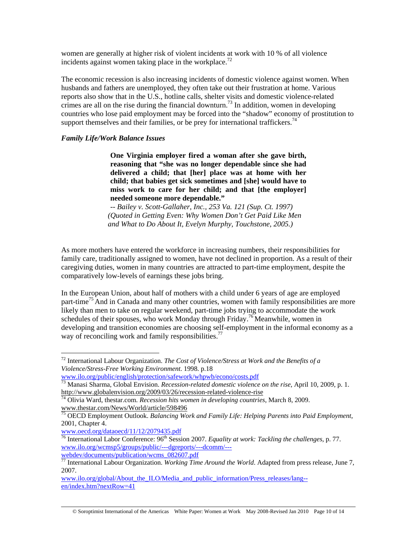women are generally at higher risk of violent incidents at work with 10 % of all violence incidents against women taking place in the workplace.<sup>72</sup>

The economic recession is also increasing incidents of domestic violence against women. When husbands and fathers are unemployed, they often take out their frustration at home. Various reports also show that in the U.S., hotline calls, shelter visits and domestic violence-related crimes are all on the rise during the financial downturn.<sup>73</sup> In addition, women in developing countries who lose paid employment may be forced into the "shadow" economy of prostitution to support themselves and their families, or be prey for international traffickers.<sup>74</sup>

### *Family Life/Work Balance Issues*

**One Virginia employer fired a woman after she gave birth, reasoning that "she was no longer dependable since she had delivered a child; that [her] place was at home with her child; that babies get sick sometimes and [she] would have to miss work to care for her child; and that [the employer] needed someone more dependable."** 

*-- Bailey v. Scott-Gallaher, Inc., 253 Va. 121 (Sup. Ct. 1997) (Quoted in Getting Even: Why Women Don't Get Paid Like Men and What to Do About It, Evelyn Murphy, Touchstone, 2005.)* 

As more mothers have entered the workforce in increasing numbers, their responsibilities for family care, traditionally assigned to women, have not declined in proportion. As a result of their caregiving duties, women in many countries are attracted to part-time employment, despite the comparatively low-levels of earnings these jobs bring.

In the European Union, about half of mothers with a child under 6 years of age are employed part-time<sup>75</sup> And in Canada and many other countries, women with family responsibilities are more likely than men to take on regular weekend, part-time jobs trying to accommodate the work schedules of their spouses, who work Monday through Friday.<sup>76</sup> Meanwhile, women in developing and transition economies are choosing self-employment in the informal economy as a way of reconciling work and family responsibilities.<sup>77</sup>

<sup>72</sup> International Labour Organization. *The Cost of Violence/Stress at Work and the Benefits of a Violence/Stress-Free Working Environment*. 1998. p.18

www.ilo.org/public/english/protection/safework/whpwb/econo/costs.pdf

<sup>73</sup> Manasi Sharma, Global Envision. *Recession-related domestic violence on the rise*, April 10, 2009, p. 1. http://www.globalenvision.org/2009/03/26/recession-related-violence-rise 74 Olivia Ward, thestar.com. *Recession hits women in developing countries*, March 8, 2009.

www.thestar.com/News/World/article/598496

<sup>75</sup> OECD Employment Outlook. *Balancing Work and Family Life: Helping Parents into Paid Employment*, 2001, Chapter 4.

www.oecd.org/dataoecd/11/12/2079435.pdf

<sup>76</sup> International Labor Conference: 96th Session 2007. *Equality at work: Tackling the challenges,* p. 77. www.ilo.org/wcmsp5/groups/public/---dgreports/---dcomm/-- webdev/documents/publication/wcms\_082607.pdf

<sup>77</sup> International Labour Organization. *Working Time Around the World*. Adapted from press release, June 7, 2007.

www.ilo.org/global/About\_the\_ILO/Media\_and\_public\_information/Press\_releases/lang- en/index.htm?nextRow=41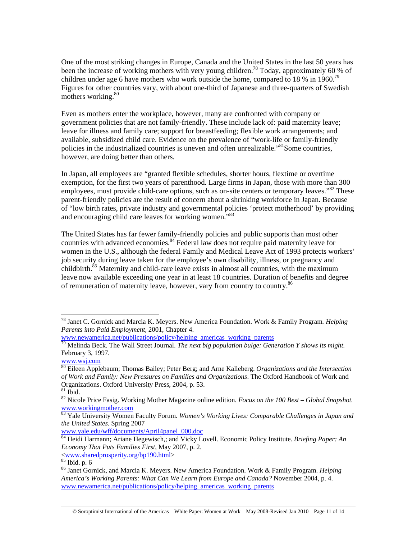One of the most striking changes in Europe, Canada and the United States in the last 50 years has been the increase of working mothers with very young children.<sup>78</sup> Today, approximately 60 % of children under age 6 have mothers who work outside the home, compared to 18 % in 1960.<sup>79</sup> Figures for other countries vary, with about one-third of Japanese and three-quarters of Swedish mothers working.<sup>80</sup>

Even as mothers enter the workplace, however, many are confronted with company or government policies that are not family-friendly. These include lack of: paid maternity leave; leave for illness and family care; support for breastfeeding; flexible work arrangements; and available, subsidized child care. Evidence on the prevalence of "work-life or family-friendly policies in the industrialized countries is uneven and often unrealizable."<sup>81</sup>Some countries, however, are doing better than others.

In Japan, all employees are "granted flexible schedules, shorter hours, flextime or overtime exemption, for the first two years of parenthood. Large firms in Japan, those with more than 300 employees, must provide child-care options, such as on-site centers or temporary leaves."<sup>82</sup> These parent-friendly policies are the result of concern about a shrinking workforce in Japan. Because of "low birth rates, private industry and governmental policies 'protect motherhood' by providing and encouraging child care leaves for working women."<sup>83</sup>

The United States has far fewer family-friendly policies and public supports than most other countries with advanced economies.<sup>84</sup> Federal law does not require paid maternity leave for women in the U.S., although the federal Family and Medical Leave Act of 1993 protects workers' job security during leave taken for the employee's own disability, illness, or pregnancy and childbirth.<sup>85</sup> Maternity and child-care leave exists in almost all countries, with the maximum leave now available exceeding one year in at least 18 countries. Duration of benefits and degree of remuneration of maternity leave, however, vary from country to country.<sup>86</sup>

 $\overline{a}$ 

www.yale.edu/wff/documents/April4panel\_000.doc

<sup>78</sup> Janet C. Gornick and Marcia K. Meyers. New America Foundation. Work & Family Program*. Helping Parents into Paid Employment,* 2001, Chapter 4.

www.newamerica.net/publications/policy/helping\_americas\_working\_parents

<sup>79</sup> Melinda Beck. The Wall Street Journal. *The next big population bulge: Generation Y shows its might.* February 3, 1997.

www.wsj.com

<sup>80</sup> Eileen Applebaum; Thomas Bailey; Peter Berg; and Arne Kalleberg. *Organizations and the Intersection of Work and Family: New Pressures on Families and Organizations*. The Oxford Handbook of Work and Organizations. Oxford University Press, 2004, p. 53.

 $81$  Ibid.

<sup>82</sup> Nicole Price Fasig. Working Mother Magazine online edition. *Focus on the 100 Best – Global Snapshot.* www.workingmother.com

<sup>83</sup> Yale University Women Faculty Forum. *Women's Working Lives: Comparable Challenges in Japan and the United States*. Spring 2007

<sup>84</sup> Heidi Harmann; Ariane Hegewisch,; and Vicky Lovell. Economic Policy Institute. *Briefing Paper: An Economy That Puts Families First*, May 2007, p. 2.  $\frac{\rm{www.sharedprosperity.org/bp190.html}}{\rm{Bid. p. 6}}$ 

<sup>86</sup> Janet Gornick, and Marcia K. Meyers. New America Foundation. Work & Family Program. *Helping America's Working Parents: What Can We Learn from Europe and Canada?* November 2004, p. 4. www.newamerica.net/publications/policy/helping\_americas\_working\_parents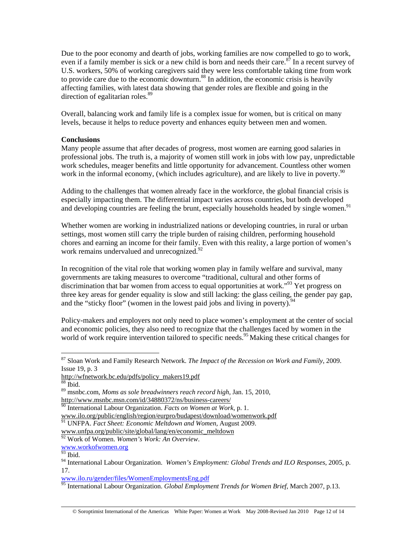Due to the poor economy and dearth of jobs, working families are now compelled to go to work, even if a family member is sick or a new child is born and needs their care.<sup>87</sup> In a recent survey of U.S. workers, 50% of working caregivers said they were less comfortable taking time from work to provide care due to the economic downturn. $88$  In addition, the economic crisis is heavily affecting families, with latest data showing that gender roles are flexible and going in the direction of egalitarian roles.<sup>89</sup>

Overall, balancing work and family life is a complex issue for women, but is critical on many levels, because it helps to reduce poverty and enhances equity between men and women.

# **Conclusions**

Many people assume that after decades of progress, most women are earning good salaries in professional jobs. The truth is, a majority of women still work in jobs with low pay, unpredictable work schedules, meager benefits and little opportunity for advancement. Countless other women work in the informal economy, (which includes agriculture), and are likely to live in poverty.<sup>90</sup>

Adding to the challenges that women already face in the workforce, the global financial crisis is especially impacting them. The differential impact varies across countries, but both developed and developing countries are feeling the brunt, especially households headed by single women.<sup>91</sup>

Whether women are working in industrialized nations or developing countries, in rural or urban settings, most women still carry the triple burden of raising children, performing household chores and earning an income for their family. Even with this reality, a large portion of women's work remains undervalued and unrecognized.<sup>92</sup>

In recognition of the vital role that working women play in family welfare and survival, many governments are taking measures to overcome "traditional, cultural and other forms of discrimination that bar women from access to equal opportunities at work.<sup> $93$ </sup> Yet progress on three key areas for gender equality is slow and still lacking: the glass ceiling, the gender pay gap, and the "sticky floor" (women in the lowest paid jobs and living in poverty).<sup>9</sup>

Policy-makers and employers not only need to place women's employment at the center of social and economic policies, they also need to recognize that the challenges faced by women in the world of work require intervention tailored to specific needs.<sup>95</sup> Making these critical changes for

 $\overline{a}$ 

www.ilo.org/public/english/region/eurpro/budapest/download/womenwork.pdf

www.unfpa.org/public/site/global/lang/en/economic\_meltdown

<sup>87</sup> Sloan Work and Family Research Network. *The Impact of the Recession on Work and Family*, 2009. Issue 19, p. 3

http://wfnetwork.bc.edu/pdfs/policy\_makers19.pdf

<sup>88</sup> Ibid.

<sup>89</sup> msnbc.com, *Moms as sole breadwinners reach record high*, Jan. 15, 2010, http://www.msnbc.msn.com/id/34880372/ns/business-careers/

<sup>90</sup> International Labour Organization. *Facts on Women at Work*, p. 1.

<sup>91</sup> UNFPA. *Fact Sheet: Economic Meltdown and Women,* August 2009.

<sup>92</sup> Work of Women. *Women's Work: An Overview*.

www.workofwomen.org

 $\overline{^{93}}$  Ibid.

<sup>94</sup> International Labour Organization. *Women's Employment: Global Trends and ILO Responses*, 2005, p. 17.

www.ilo.ru/gender/files/WomenEmploymentsEng.pdf

<sup>95</sup> International Labour Organization. *Global Employment Trends for Women Brief*, March 2007, p.13.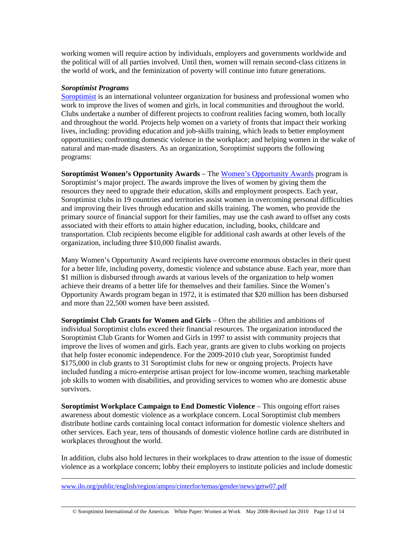working women will require action by individuals, employers and governments worldwide and the political will of all parties involved. Until then, women will remain second-class citizens in the world of work, and the feminization of poverty will continue into future generations.

### *Soroptimist Programs*

Soroptimist is an international volunteer organization for business and professional women who work to improve the lives of women and girls, in local communities and throughout the world. Clubs undertake a number of different projects to confront realities facing women, both locally and throughout the world. Projects help women on a variety of fronts that impact their working lives, including: providing education and job-skills training, which leads to better employment opportunities; confronting domestic violence in the workplace; and helping women in the wake of natural and man-made disasters. As an organization, Soroptimist supports the following programs:

**Soroptimist Women's Opportunity Awards** – The Women's Opportunity Awards program is Soroptimist's major project. The awards improve the lives of women by giving them the resources they need to upgrade their education, skills and employment prospects. Each year, Soroptimist clubs in 19 countries and territories assist women in overcoming personal difficulties and improving their lives through education and skills training. The women, who provide the primary source of financial support for their families, may use the cash award to offset any costs associated with their efforts to attain higher education, including, books, childcare and transportation. Club recipients become eligible for additional cash awards at other levels of the organization, including three \$10,000 finalist awards.

Many Women's Opportunity Award recipients have overcome enormous obstacles in their quest for a better life, including poverty, domestic violence and substance abuse. Each year, more than \$1 million is disbursed through awards at various levels of the organization to help women achieve their dreams of a better life for themselves and their families. Since the Women's Opportunity Awards program began in 1972, it is estimated that \$20 million has been disbursed and more than 22,500 women have been assisted.

**Soroptimist Club Grants for Women and Girls** – Often the abilities and ambitions of individual Soroptimist clubs exceed their financial resources. The organization introduced the Soroptimist Club Grants for Women and Girls in 1997 to assist with community projects that improve the lives of women and girls. Each year, grants are given to clubs working on projects that help foster economic independence. For the 2009-2010 club year, Soroptimist funded \$175,000 in club grants to 31 Soroptimist clubs for new or ongoing projects. Projects have included funding a micro-enterprise artisan project for low-income women, teaching marketable job skills to women with disabilities, and providing services to women who are domestic abuse survivors.

**Soroptimist Workplace Campaign to End Domestic Violence** – This ongoing effort raises awareness about domestic violence as a workplace concern. Local Soroptimist club members distribute hotline cards containing local contact information for domestic violence shelters and other services. Each year, tens of thousands of domestic violence hotline cards are distributed in workplaces throughout the world.

In addition, clubs also hold lectures in their workplaces to draw attention to the issue of domestic violence as a workplace concern; lobby their employers to institute policies and include domestic

www.ilo.org/public/english/region/ampro/cinterfor/temas/gender/news/getw07.pdf